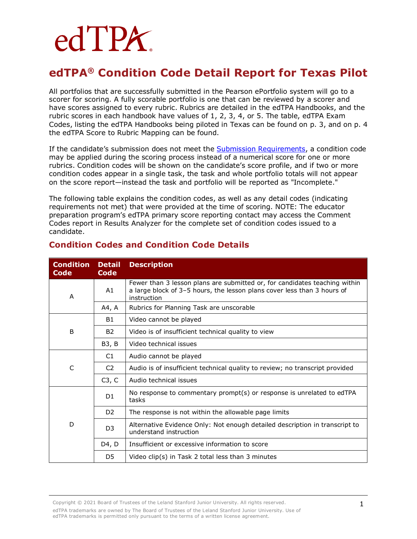# edTPA.

## **edTPA® Condition Code Detail Report for Texas Pilot**

All portfolios that are successfully submitted in the Pearson ePortfolio system will go to a scorer for scoring. A fully scorable portfolio is one that can be reviewed by a scorer and have scores assigned to every rubric. Rubrics are detailed in the edTPA Handbooks, and the rubric scores in each handbook have values of 1, 2, 3, 4, or 5. The table, edTPA Exam Codes, listing the edTPA Handbooks being piloted in Texas can be found on p. 3, and on p. 4 the edTPA Score to Rubric Mapping can be found.

If the candidate's submission does not meet the [Submission Requirements,](http://www.tx.nesinc.com/TestView.aspx?f=GEN_CandidatePolicies.html) a condition code may be applied during the scoring process instead of a numerical score for one or more rubrics. Condition codes will be shown on the candidate's score profile, and if two or more condition codes appear in a single task, the task and whole portfolio totals will not appear on the score report—instead the task and portfolio will be reported as "Incomplete."

The following table explains the condition codes, as well as any detail codes (indicating requirements not met) that were provided at the time of scoring. NOTE: The educator preparation program's edTPA primary score reporting contact may access the Comment Codes report in Results Analyzer for the complete set of condition codes issued to a candidate.

| <b>Condition</b><br><b>Code</b> | <b>Detail</b><br><b>Code</b> | <b>Description</b>                                                                                                                                                   |  |  |
|---------------------------------|------------------------------|----------------------------------------------------------------------------------------------------------------------------------------------------------------------|--|--|
| A                               | A1                           | Fewer than 3 lesson plans are submitted or, for candidates teaching within<br>a large block of 3-5 hours, the lesson plans cover less than 3 hours of<br>instruction |  |  |
|                                 | A4, A                        | Rubrics for Planning Task are unscorable                                                                                                                             |  |  |
| B                               | B1                           | Video cannot be played                                                                                                                                               |  |  |
|                                 | <b>B2</b>                    | Video is of insufficient technical quality to view                                                                                                                   |  |  |
|                                 | B3, B                        | Video technical issues                                                                                                                                               |  |  |
| C                               | C <sub>1</sub>               | Audio cannot be played                                                                                                                                               |  |  |
|                                 | C <sub>2</sub>               | Audio is of insufficient technical quality to review; no transcript provided                                                                                         |  |  |
|                                 | C3, C                        | Audio technical issues                                                                                                                                               |  |  |
| D                               | D <sub>1</sub>               | No response to commentary prompt(s) or response is unrelated to edTPA<br>tasks                                                                                       |  |  |
|                                 | D <sub>2</sub>               | The response is not within the allowable page limits                                                                                                                 |  |  |
|                                 | D <sub>3</sub>               | Alternative Evidence Only: Not enough detailed description in transcript to<br>understand instruction                                                                |  |  |
|                                 | D4, D                        | Insufficient or excessive information to score                                                                                                                       |  |  |
|                                 | D5                           | Video clip(s) in Task 2 total less than 3 minutes                                                                                                                    |  |  |

#### **Condition Codes and Condition Code Details**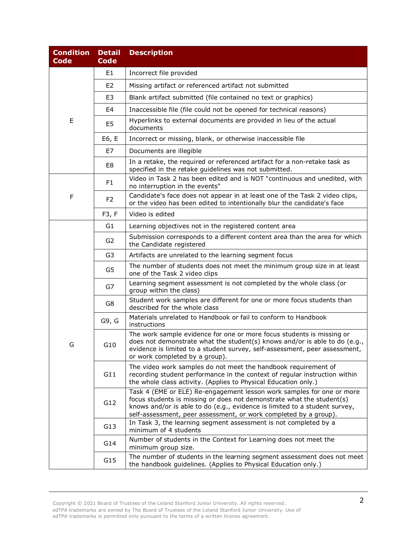| <b>Condition</b><br><b>Code</b> | <b>Detail</b><br><b>Code</b> | <b>Description</b>                                                                                                                                                                                                                                                                               |  |  |
|---------------------------------|------------------------------|--------------------------------------------------------------------------------------------------------------------------------------------------------------------------------------------------------------------------------------------------------------------------------------------------|--|--|
|                                 | E1                           | Incorrect file provided                                                                                                                                                                                                                                                                          |  |  |
|                                 | E <sub>2</sub>               | Missing artifact or referenced artifact not submitted                                                                                                                                                                                                                                            |  |  |
|                                 | E3                           | Blank artifact submitted (file contained no text or graphics)                                                                                                                                                                                                                                    |  |  |
|                                 | E4                           | Inaccessible file (file could not be opened for technical reasons)                                                                                                                                                                                                                               |  |  |
| E                               | E5                           | Hyperlinks to external documents are provided in lieu of the actual<br>documents                                                                                                                                                                                                                 |  |  |
|                                 | E6, E                        | Incorrect or missing, blank, or otherwise inaccessible file                                                                                                                                                                                                                                      |  |  |
|                                 | E7                           | Documents are illegible                                                                                                                                                                                                                                                                          |  |  |
|                                 | E8                           | In a retake, the required or referenced artifact for a non-retake task as<br>specified in the retake guidelines was not submitted.                                                                                                                                                               |  |  |
|                                 | F1                           | Video in Task 2 has been edited and is NOT "continuous and unedited, with<br>no interruption in the events"                                                                                                                                                                                      |  |  |
| F                               | F <sub>2</sub>               | Candidate's face does not appear in at least one of the Task 2 video clips,<br>or the video has been edited to intentionally blur the candidate's face                                                                                                                                           |  |  |
|                                 | F3, F                        | Video is edited                                                                                                                                                                                                                                                                                  |  |  |
|                                 | G1                           | Learning objectives not in the registered content area                                                                                                                                                                                                                                           |  |  |
|                                 | G <sub>2</sub>               | Submission corresponds to a different content area than the area for which<br>the Candidate registered                                                                                                                                                                                           |  |  |
|                                 | G3                           | Artifacts are unrelated to the learning segment focus                                                                                                                                                                                                                                            |  |  |
|                                 | G5                           | The number of students does not meet the minimum group size in at least<br>one of the Task 2 video clips                                                                                                                                                                                         |  |  |
|                                 | G7                           | Learning segment assessment is not completed by the whole class (or<br>group within the class)                                                                                                                                                                                                   |  |  |
|                                 | G8                           | Student work samples are different for one or more focus students than<br>described for the whole class                                                                                                                                                                                          |  |  |
| G                               | G9, G                        | Materials unrelated to Handbook or fail to conform to Handbook<br>instructions                                                                                                                                                                                                                   |  |  |
|                                 | G10                          | The work sample evidence for one or more focus students is missing or<br>does not demonstrate what the student(s) knows and/or is able to do (e.g.,<br>evidence is limited to a student survey, self-assessment, peer assessment,<br>or work completed by a group).                              |  |  |
|                                 | G11                          | The video work samples do not meet the handbook requirement of<br>recording student performance in the context of regular instruction within<br>the whole class activity. (Applies to Physical Education only.)                                                                                  |  |  |
|                                 | G12                          | Task 4 (EME or ELE) Re-engagement lesson work samples for one or more<br>focus students is missing or does not demonstrate what the student(s)<br>knows and/or is able to do (e.g., evidence is limited to a student survey,<br>self-assessment, peer assessment, or work completed by a group). |  |  |
|                                 | G13                          | In Task 3, the learning segment assessment is not completed by a<br>minimum of 4 students                                                                                                                                                                                                        |  |  |
|                                 | G14                          | Number of students in the Context for Learning does not meet the<br>minimum group size.                                                                                                                                                                                                          |  |  |
|                                 | G15                          | The number of students in the learning segment assessment does not meet<br>the handbook guidelines. (Applies to Physical Education only.)                                                                                                                                                        |  |  |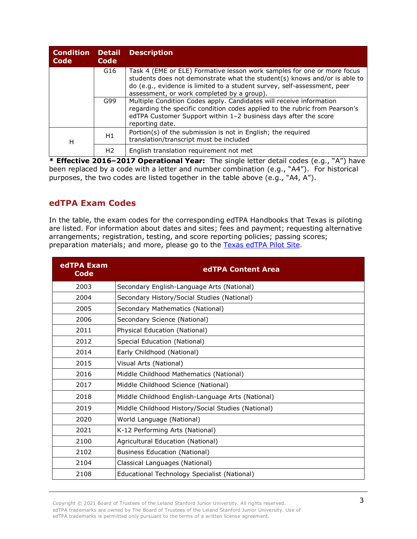| <b>Condition</b><br>Code | <b>Detail</b><br>Code | <b>Description</b>                                                                                                                                                                                                                                                             |
|--------------------------|-----------------------|--------------------------------------------------------------------------------------------------------------------------------------------------------------------------------------------------------------------------------------------------------------------------------|
|                          | G <sub>16</sub>       | Task 4 (EME or ELE) Formative lesson work samples for one or more focus<br>students does not demonstrate what the student(s) knows and/or is able to<br>do (e.g., evidence is limited to a student survey, self-assessment, peer<br>assessment, or work completed by a group). |
|                          | G99                   | Multiple Condition Codes apply. Candidates will receive information<br>regarding the specific condition codes applied to the rubric from Pearson's<br>edTPA Customer Support within 1-2 business days after the score<br>reporting date.                                       |
| н                        | H1                    | Portion(s) of the submission is not in English; the required<br>translation/transcript must be included                                                                                                                                                                        |
|                          | H <sub>2</sub>        | English translation requirement not met<br>$\mathbf{v}$ $\mathbf{v}$                                                                                                                                                                                                           |

**\* Effective 2016–2017 Operational Year:** The single letter detail codes (e.g., "A") have been replaced by a code with a letter and number combination (e.g., "A4"). For historical purposes, the two codes are listed together in the table above (e.g., "A4, A").

#### **edTPA Exam Codes**

In the table, the exam codes for the corresponding edTPA Handbooks that Texas is piloting are listed. For information about dates and sites; fees and payment; requesting alternative arrangements; registration, testing, and score reporting policies; passing scores; preparation materials; and more, please go to the [Texas edTPA Pilot Site.](https://www.tx.nesinc.com/TestView.aspx?f=HTML_FRAG/edTPA_TestPage.html)

| edTPA Exam<br><b>Code</b> | edTPA Content Area                                 |  |  |
|---------------------------|----------------------------------------------------|--|--|
| 2003                      | Secondary English-Language Arts (National)         |  |  |
| 2004                      | Secondary History/Social Studies (National)        |  |  |
| 2005                      | Secondary Mathematics (National)                   |  |  |
| 2006                      | Secondary Science (National)                       |  |  |
| 2011                      | Physical Education (National)                      |  |  |
| 2012                      | Special Education (National)                       |  |  |
| 2014                      | Early Childhood (National)                         |  |  |
| 2015                      | Visual Arts (National)                             |  |  |
| 2016                      | Middle Childhood Mathematics (National)            |  |  |
| 2017                      | Middle Childhood Science (National)                |  |  |
| 2018                      | Middle Childhood English-Language Arts (National)  |  |  |
| 2019                      | Middle Childhood History/Social Studies (National) |  |  |
| 2020                      | World Language (National)                          |  |  |
| 2021                      | K-12 Performing Arts (National)                    |  |  |
| 2100                      | Agricultural Education (National)                  |  |  |
| 2102                      | <b>Business Education (National)</b>               |  |  |
| 2104                      | Classical Languages (National)                     |  |  |
| 2108                      | Educational Technology Specialist (National)       |  |  |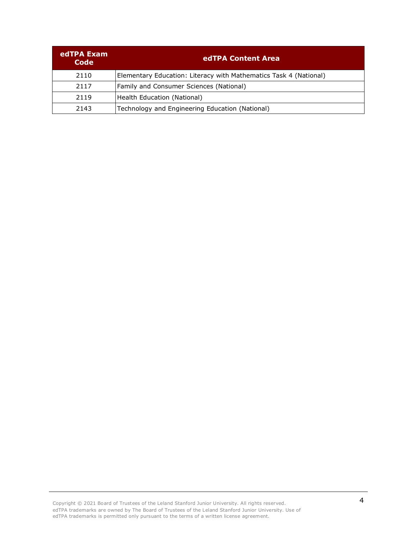| edTPA Exam<br>Code | edTPA Content Area                                                |  |
|--------------------|-------------------------------------------------------------------|--|
| 2110               | Elementary Education: Literacy with Mathematics Task 4 (National) |  |
| 2117               | Family and Consumer Sciences (National)                           |  |
| 2119               | Health Education (National)                                       |  |
| 2143               | Technology and Engineering Education (National)                   |  |